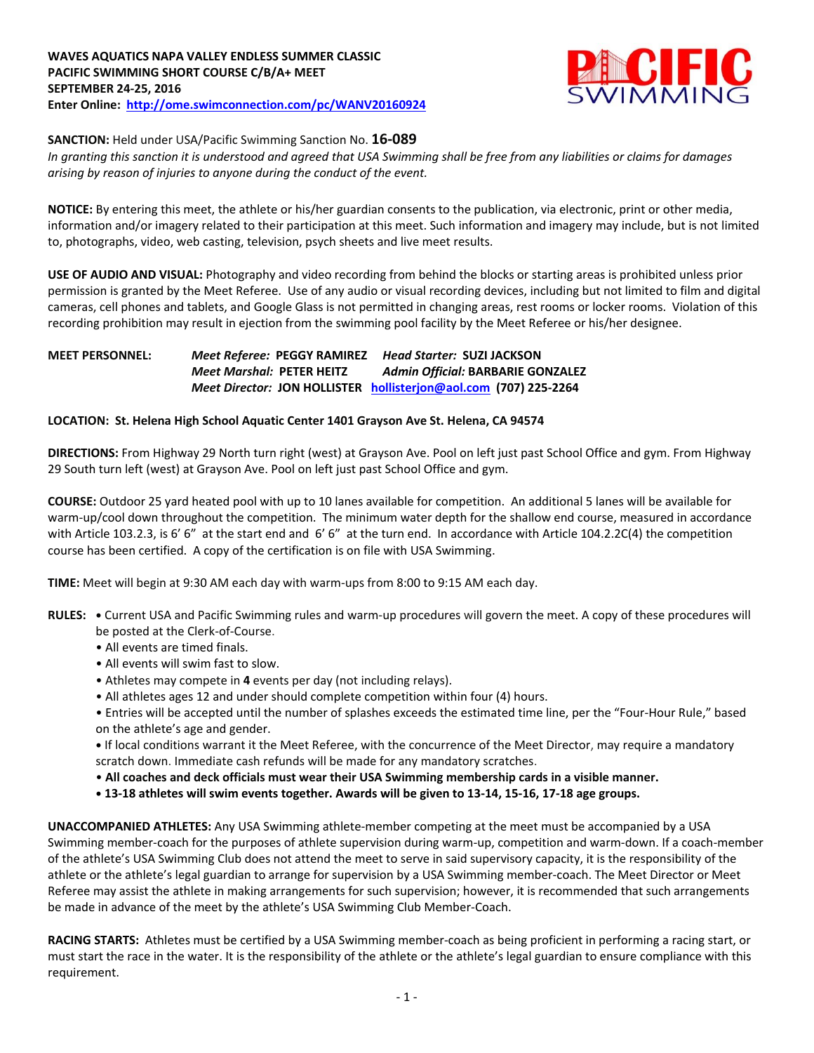

**SANCTION:** Held under USA/Pacific Swimming Sanction No. **16-089**

*In granting this sanction it is understood and agreed that USA Swimming shall be free from any liabilities or claims for damages arising by reason of injuries to anyone during the conduct of the event.*

**NOTICE:** By entering this meet, the athlete or his/her guardian consents to the publication, via electronic, print or other media, information and/or imagery related to their participation at this meet. Such information and imagery may include, but is not limited to, photographs, video, web casting, television, psych sheets and live meet results.

**USE OF AUDIO AND VISUAL:** Photography and video recording from behind the blocks or starting areas is prohibited unless prior permission is granted by the Meet Referee. Use of any audio or visual recording devices, including but not limited to film and digital cameras, cell phones and tablets, and Google Glass is not permitted in changing areas, rest rooms or locker rooms. Violation of this recording prohibition may result in ejection from the swimming pool facility by the Meet Referee or his/her designee.

## **MEET PERSONNEL:** *Meet Referee:* **PEGGY RAMIREZ** *Head Starter:* **SUZI JACKSON** *Meet Marshal:* **PETER HEITZ** *Admin Official:* **BARBARIE GONZALEZ** *Meet Director:* **JON HOLLISTER [hollisterjon@aol.com](mailto:hollisterjon@aol.com) (707) 225-2264**

## **LOCATION: St. Helena High School Aquatic Center 1401 Grayson Ave St. Helena, CA 94574**

**DIRECTIONS:** From Highway 29 North turn right (west) at Grayson Ave. Pool on left just past School Office and gym. From Highway 29 South turn left (west) at Grayson Ave. Pool on left just past School Office and gym.

**COURSE:** Outdoor 25 yard heated pool with up to 10 lanes available for competition. An additional 5 lanes will be available for warm-up/cool down throughout the competition. The minimum water depth for the shallow end course, measured in accordance with Article 103.2.3, is 6' 6" at the start end and 6' 6" at the turn end. In accordance with Article 104.2.2C(4) the competition course has been certified. A copy of the certification is on file with USA Swimming.

**TIME:** Meet will begin at 9:30 AM each day with warm-ups from 8:00 to 9:15 AM each day.

- **RULES: •** Current USA and Pacific Swimming rules and warm-up procedures will govern the meet. A copy of these procedures will be posted at the Clerk-of-Course.
	- All events are timed finals.
	- All events will swim fast to slow.
	- Athletes may compete in **4** events per day (not including relays).
	- All athletes ages 12 and under should complete competition within four (4) hours.
	- Entries will be accepted until the number of splashes exceeds the estimated time line, per the "Four-Hour Rule," based on the athlete's age and gender.

**•** If local conditions warrant it the Meet Referee, with the concurrence of the Meet Director, may require a mandatory scratch down. Immediate cash refunds will be made for any mandatory scratches.

- **All coaches and deck officials must wear their USA Swimming membership cards in a visible manner.**
- **• 13-18 athletes will swim events together. Awards will be given to 13-14, 15-16, 17-18 age groups.**

**UNACCOMPANIED ATHLETES:** Any USA Swimming athlete-member competing at the meet must be accompanied by a USA Swimming member-coach for the purposes of athlete supervision during warm-up, competition and warm-down. If a coach-member of the athlete's USA Swimming Club does not attend the meet to serve in said supervisory capacity, it is the responsibility of the athlete or the athlete's legal guardian to arrange for supervision by a USA Swimming member-coach. The Meet Director or Meet Referee may assist the athlete in making arrangements for such supervision; however, it is recommended that such arrangements be made in advance of the meet by the athlete's USA Swimming Club Member-Coach.

**RACING STARTS:** Athletes must be certified by a USA Swimming member-coach as being proficient in performing a racing start, or must start the race in the water. It is the responsibility of the athlete or the athlete's legal guardian to ensure compliance with this requirement.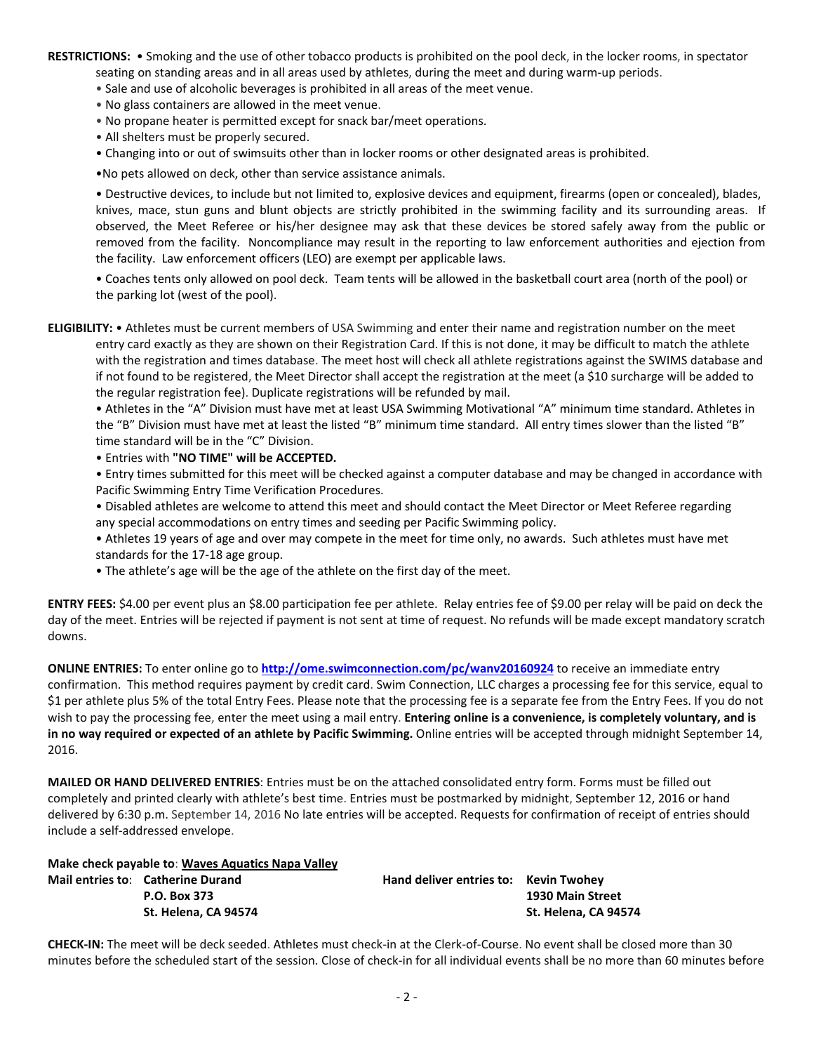**RESTRICTIONS:** • Smoking and the use of other tobacco products is prohibited on the pool deck, in the locker rooms, in spectator seating on standing areas and in all areas used by athletes, during the meet and during warm-up periods.

- Sale and use of alcoholic beverages is prohibited in all areas of the meet venue.
- No glass containers are allowed in the meet venue.
- No propane heater is permitted except for snack bar/meet operations.
- All shelters must be properly secured.
- Changing into or out of swimsuits other than in locker rooms or other designated areas is prohibited.
- •No pets allowed on deck, other than service assistance animals.

• Destructive devices, to include but not limited to, explosive devices and equipment, firearms (open or concealed), blades, knives, mace, stun guns and blunt objects are strictly prohibited in the swimming facility and its surrounding areas. If observed, the Meet Referee or his/her designee may ask that these devices be stored safely away from the public or removed from the facility. Noncompliance may result in the reporting to law enforcement authorities and ejection from the facility. Law enforcement officers (LEO) are exempt per applicable laws.

• Coaches tents only allowed on pool deck. Team tents will be allowed in the basketball court area (north of the pool) or the parking lot (west of the pool).

**ELIGIBILITY:** • Athletes must be current members of USA Swimming and enter their name and registration number on the meet entry card exactly as they are shown on their Registration Card. If this is not done, it may be difficult to match the athlete with the registration and times database. The meet host will check all athlete registrations against the SWIMS database and if not found to be registered, the Meet Director shall accept the registration at the meet (a \$10 surcharge will be added to the regular registration fee). Duplicate registrations will be refunded by mail.

• Athletes in the "A" Division must have met at least USA Swimming Motivational "A" minimum time standard. Athletes in the "B" Division must have met at least the listed "B" minimum time standard. All entry times slower than the listed "B" time standard will be in the "C" Division.

• Entries with **"NO TIME" will be ACCEPTED.** 

• Entry times submitted for this meet will be checked against a computer database and may be changed in accordance with Pacific Swimming Entry Time Verification Procedures.

• Disabled athletes are welcome to attend this meet and should contact the Meet Director or Meet Referee regarding any special accommodations on entry times and seeding per Pacific Swimming policy.

- Athletes 19 years of age and over may compete in the meet for time only, no awards. Such athletes must have met standards for the 17-18 age group.
- The athlete's age will be the age of the athlete on the first day of the meet.

**ENTRY FEES:** \$4.00 per event plus an \$8.00 participation fee per athlete. Relay entries fee of \$9.00 per relay will be paid on deck the day of the meet. Entries will be rejected if payment is not sent at time of request. No refunds will be made except mandatory scratch downs.

**ONLINE ENTRIES:** To enter online go to **<http://ome.swimconnection.com/pc/wanv20160924>** to receive an immediate entry confirmation. This method requires payment by credit card. Swim Connection, LLC charges a processing fee for this service, equal to \$1 per athlete plus 5% of the total Entry Fees. Please note that the processing fee is a separate fee from the Entry Fees. If you do not wish to pay the processing fee, enter the meet using a mail entry. **Entering online is a convenience, is completely voluntary, and is in no way required or expected of an athlete by Pacific Swimming.** Online entries will be accepted through midnight September 14, 2016.

**MAILED OR HAND DELIVERED ENTRIES**: Entries must be on the attached consolidated entry form. Forms must be filled out completely and printed clearly with athlete's best time. Entries must be postmarked by midnight, September 12, 2016 or hand delivered by 6:30 p.m. September 14, 2016 No late entries will be accepted. Requests for confirmation of receipt of entries should include a self-addressed envelope.

**Make check payable to**: **Waves Aquatics Napa Valley**

| Mail entries to: Catherine Durand | Hand deliver entries to: Kevin Twohey |                      |
|-----------------------------------|---------------------------------------|----------------------|
| P.O. Box 373                      |                                       | 1930 Main Street     |
| St. Helena. CA 94574              |                                       | St. Helena. CA 94574 |

**CHECK-IN:** The meet will be deck seeded. Athletes must check-in at the Clerk-of-Course. No event shall be closed more than 30 minutes before the scheduled start of the session. Close of check-in for all individual events shall be no more than 60 minutes before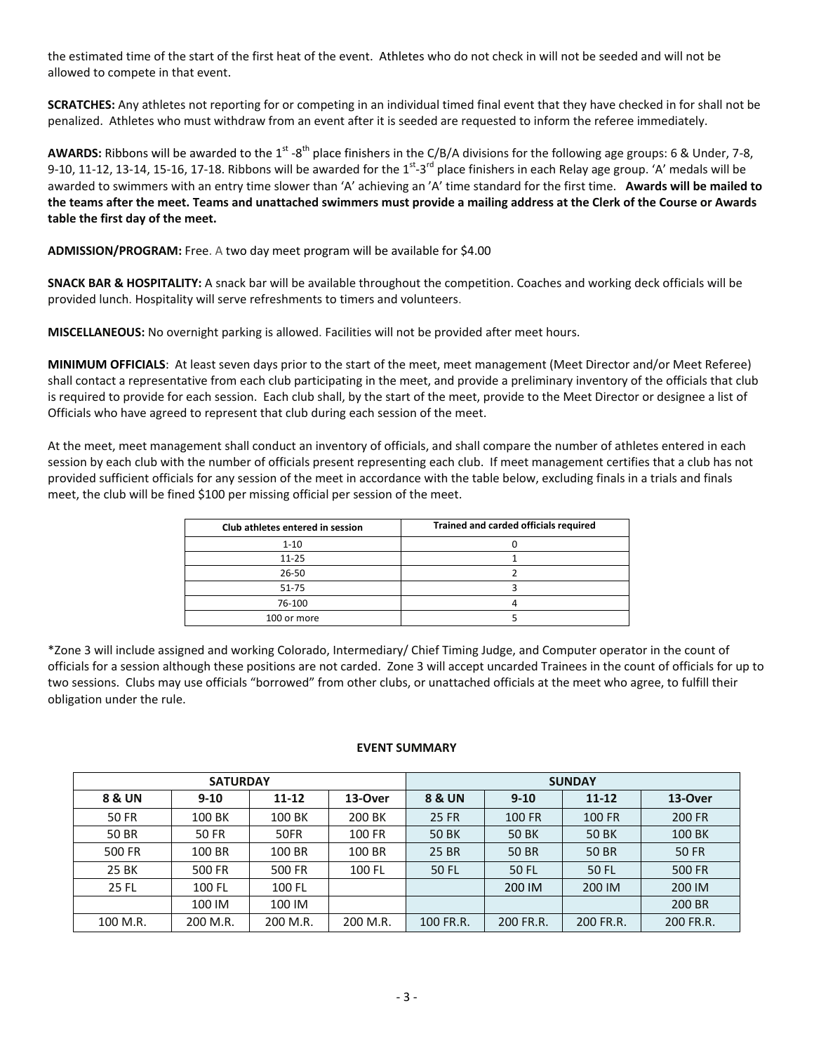the estimated time of the start of the first heat of the event. Athletes who do not check in will not be seeded and will not be allowed to compete in that event.

**SCRATCHES:** Any athletes not reporting for or competing in an individual timed final event that they have checked in for shall not be penalized. Athletes who must withdraw from an event after it is seeded are requested to inform the referee immediately.

AWARDS: Ribbons will be awarded to the 1<sup>st</sup> -8<sup>th</sup> place finishers in the C/B/A divisions for the following age groups: 6 & Under, 7-8, 9-10, 11-12, 13-14, 15-16, 17-18. Ribbons will be awarded for the  $1^{st}$ -3<sup>rd</sup> place finishers in each Relay age group. 'A' medals will be awarded to swimmers with an entry time slower than 'A' achieving an 'A' time standard for the first time. **Awards will be mailed to the teams after the meet. Teams and unattached swimmers must provide a mailing address at the Clerk of the Course or Awards table the first day of the meet.**

**ADMISSION/PROGRAM:** Free. A two day meet program will be available for \$4.00

**SNACK BAR & HOSPITALITY:** A snack bar will be available throughout the competition. Coaches and working deck officials will be provided lunch. Hospitality will serve refreshments to timers and volunteers.

**MISCELLANEOUS:** No overnight parking is allowed. Facilities will not be provided after meet hours.

**MINIMUM OFFICIALS**: At least seven days prior to the start of the meet, meet management (Meet Director and/or Meet Referee) shall contact a representative from each club participating in the meet, and provide a preliminary inventory of the officials that club is required to provide for each session. Each club shall, by the start of the meet, provide to the Meet Director or designee a list of Officials who have agreed to represent that club during each session of the meet.

At the meet, meet management shall conduct an inventory of officials, and shall compare the number of athletes entered in each session by each club with the number of officials present representing each club. If meet management certifies that a club has not provided sufficient officials for any session of the meet in accordance with the table below, excluding finals in a trials and finals meet, the club will be fined \$100 per missing official per session of the meet.

| Club athletes entered in session | Trained and carded officials required |
|----------------------------------|---------------------------------------|
| $1 - 10$                         |                                       |
| $11 - 25$                        |                                       |
| 26-50                            |                                       |
| $51 - 75$                        |                                       |
| 76-100                           |                                       |
| 100 or more                      |                                       |

\*Zone 3 will include assigned and working Colorado, Intermediary/ Chief Timing Judge, and Computer operator in the count of officials for a session although these positions are not carded. Zone 3 will accept uncarded Trainees in the count of officials for up to two sessions. Clubs may use officials "borrowed" from other clubs, or unattached officials at the meet who agree, to fulfill their obligation under the rule.

## **EVENT SUMMARY**

|              |              | <b>SUNDAY</b> |          |                   |               |               |               |
|--------------|--------------|---------------|----------|-------------------|---------------|---------------|---------------|
| 8 & UN       | $9 - 10$     | $11 - 12$     | 13-Over  | <b>8 &amp; UN</b> | $9 - 10$      | $11 - 12$     | 13-Over       |
| <b>50 FR</b> | 100 BK       | 100 BK        | 200 BK   | <b>25 FR</b>      | <b>100 FR</b> | <b>100 FR</b> | <b>200 FR</b> |
| 50 BR        | <b>50 FR</b> | 50FR          | 100 FR   | <b>50 BK</b>      | <b>50 BK</b>  | <b>50 BK</b>  | 100 BK        |
| 500 FR       | 100 BR       | 100 BR        | 100 BR   | 25 BR             | 50 BR         | 50 BR         | <b>50 FR</b>  |
| 25 BK        | 500 FR       | <b>500 FR</b> | 100 FL   | 50 FL             | <b>50 FL</b>  | 50 FL         | 500 FR        |
| 25 FL        | 100 FL       | 100 FL        |          |                   | 200 IM        | 200 IM        | 200 IM        |
|              | 100 IM       | 100 IM        |          |                   |               |               | 200 BR        |
| 100 M.R.     | 200 M.R.     | 200 M.R.      | 200 M.R. | 100 FR.R.         | 200 FR.R.     | 200 FR.R.     | 200 FR.R.     |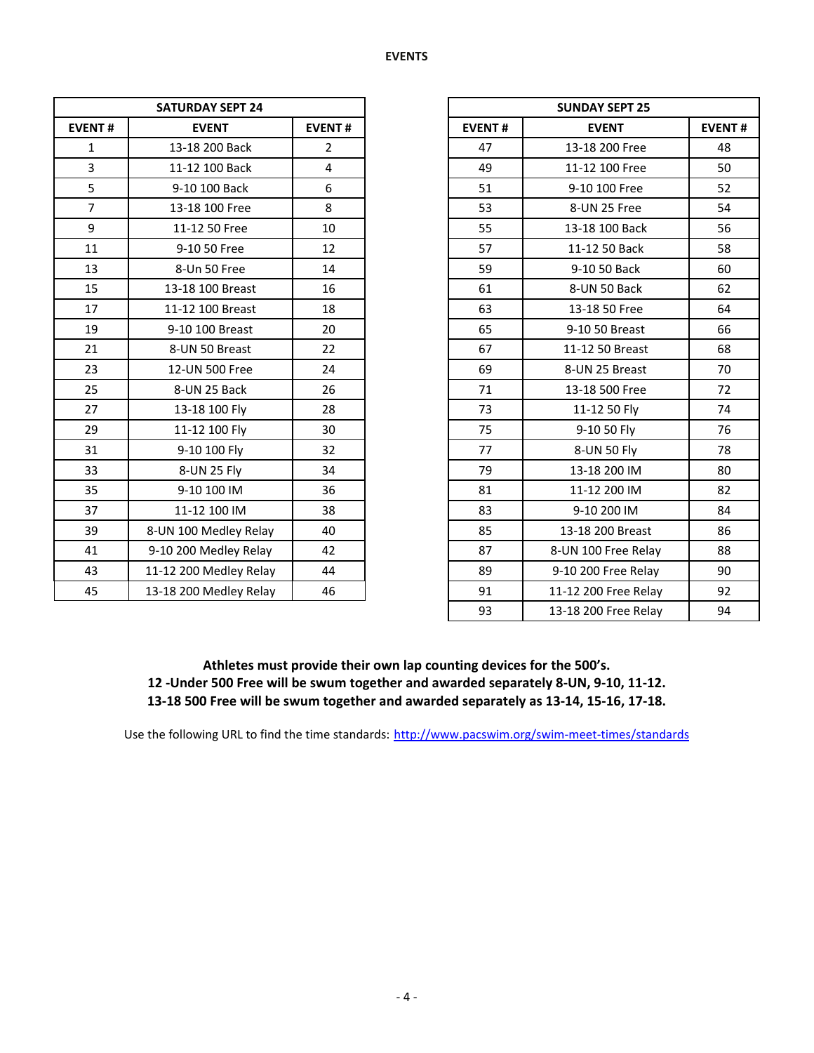|                | <b>SATURDAY SEPT 24</b> | <b>SUNDAY SEPT 25</b> |               |                    |  |
|----------------|-------------------------|-----------------------|---------------|--------------------|--|
| <b>EVENT#</b>  | <b>EVENT</b>            | <b>EVENT#</b>         | <b>EVENT#</b> | <b>EVENT</b>       |  |
| $\mathbf{1}$   | 13-18 200 Back          | $\overline{2}$        | 47            | 13-18 200 Free     |  |
| $\overline{3}$ | 11-12 100 Back          | 4                     | 49            | 11-12 100 Free     |  |
| 5              | 9-10 100 Back           | 6                     | 51            | 9-10 100 Free      |  |
| $\overline{7}$ | 13-18 100 Free          | 8                     | 53            | 8-UN 25 Free       |  |
| 9              | 11-12 50 Free           | 10                    | 55            | 13-18 100 Back     |  |
| 11             | 9-10 50 Free            | 12                    | 57            | 11-12 50 Back      |  |
| 13             | 8-Un 50 Free            | 14                    | 59            | 9-10 50 Back       |  |
| 15             | 13-18 100 Breast        | 16                    | 61            | 8-UN 50 Back       |  |
| 17             | 11-12 100 Breast        | 18                    | 63            | 13-18 50 Free      |  |
| 19             | 9-10 100 Breast         | 20                    | 65            | 9-10 50 Breast     |  |
| 21             | 8-UN 50 Breast          | 22                    | 67            | 11-12 50 Breast    |  |
| 23             | 12-UN 500 Free          | 24                    | 69            | 8-UN 25 Breast     |  |
| 25             | 8-UN 25 Back            | 26                    | 71            | 13-18 500 Free     |  |
| 27             | 13-18 100 Fly           | 28                    | 73            | 11-12 50 Fly       |  |
| 29             | 11-12 100 Fly           | 30                    | 75            | 9-10 50 Fly        |  |
| 31             | 9-10 100 Fly            | 32                    | 77            | 8-UN 50 Fly        |  |
| 33             | 8-UN 25 Fly             | 34                    | 79            | 13-18 200 IM       |  |
| 35             | 9-10 100 IM             | 36                    | 81            | 11-12 200 IM       |  |
| 37             | 11-12 100 IM            | 38                    | 83            | 9-10 200 IM        |  |
| 39             | 8-UN 100 Medley Relay   | 40                    | 85            | 13-18 200 Breast   |  |
| 41             | 9-10 200 Medley Relay   | 42                    | 87            | 8-UN 100 Free Rel  |  |
| 43             | 11-12 200 Medley Relay  | 44                    | 89            | 9-10 200 Free Rela |  |
| 45             | 13-18 200 Medley Relay  | 46                    | 91            | 11-12 200 Free Rel |  |

| <b>SATURDAY SEPT 24</b> |                        |                |
|-------------------------|------------------------|----------------|
| <b>EVENT#</b>           | <b>EVENT</b>           | <b>EVENT#</b>  |
| $\mathbf{1}$            | 13-18 200 Back         | $\overline{2}$ |
| $\overline{\mathbf{3}}$ | 11-12 100 Back         | 4              |
| 5                       | 9-10 100 Back          | 6              |
| $\overline{7}$          | 13-18 100 Free         | 8              |
| 9                       | 11-12 50 Free          | 10             |
| 11                      | 9-10 50 Free           | 12             |
| 13                      | 8-Un 50 Free           | 14             |
| 15                      | 13-18 100 Breast       | 16             |
| 17                      | 11-12 100 Breast       | 18             |
| 19                      | 9-10 100 Breast        | 20             |
| 21                      | 8-UN 50 Breast         | 22             |
| 23                      | 12-UN 500 Free         | 24             |
| 25                      | 8-UN 25 Back           | 26             |
| 27                      | 13-18 100 Fly          | 28             |
| 29                      | 11-12 100 Fly          | 30             |
| 31                      | 9-10 100 Fly           | 32             |
| 33                      | 8-UN 25 Fly            | 34             |
| 35                      | 9-10 100 IM            | 36             |
| 37                      | 11-12 100 IM           | 38             |
| 39                      | 8-UN 100 Medley Relay  | 40             |
| 41                      | 9-10 200 Medley Relay  | 42             |
| 43                      | 11-12 200 Medley Relay | 44             |
| 45                      | 13-18 200 Medley Relay | 46             |
|                         |                        |                |

**Athletes must provide their own lap counting devices for the 500's. 12 -Under 500 Free will be swum together and awarded separately 8-UN, 9-10, 11-12.**

**13-18 500 Free will be swum together and awarded separately as 13-14, 15-16, 17-18.**

Use the following URL to find the time standards: <http://www.pacswim.org/swim-meet-times/standards>